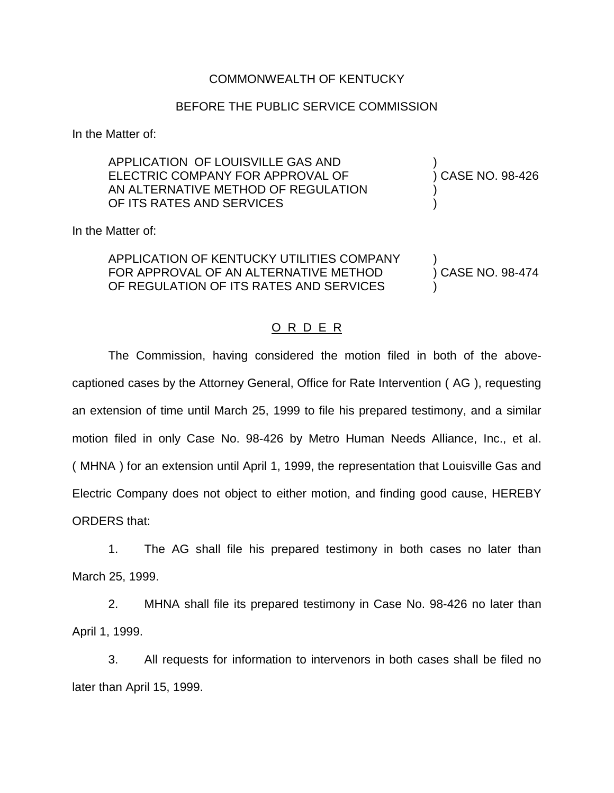## COMMONWEALTH OF KENTUCKY

## BEFORE THE PUBLIC SERVICE COMMISSION

In the Matter of:

| APPLICATION OF LOUISVILLE GAS AND<br>ELECTRIC COMPANY FOR APPROVAL OF<br>AN ALTERNATIVE METHOD OF REGULATION<br>OF ITS RATES AND SERVICES | ) CASE NO. 98-426 |
|-------------------------------------------------------------------------------------------------------------------------------------------|-------------------|
| In the Matter of:                                                                                                                         |                   |
| APPLICATION OF KENTUCKY UTILITIES COMPANY<br>FOR APPROVAL OF AN ALTERNATIVE METHOD<br>OF REGULATION OF ITS RATES AND SERVICES             | ) CASE NO. 98-474 |

## O R D E R

The Commission, having considered the motion filed in both of the abovecaptioned cases by the Attorney General, Office for Rate Intervention ( AG ), requesting an extension of time until March 25, 1999 to file his prepared testimony, and a similar motion filed in only Case No. 98-426 by Metro Human Needs Alliance, Inc., et al. ( MHNA ) for an extension until April 1, 1999, the representation that Louisville Gas and Electric Company does not object to either motion, and finding good cause, HEREBY ORDERS that:

1. The AG shall file his prepared testimony in both cases no later than March 25, 1999.

2. MHNA shall file its prepared testimony in Case No. 98-426 no later than April 1, 1999.

3. All requests for information to intervenors in both cases shall be filed no later than April 15, 1999.